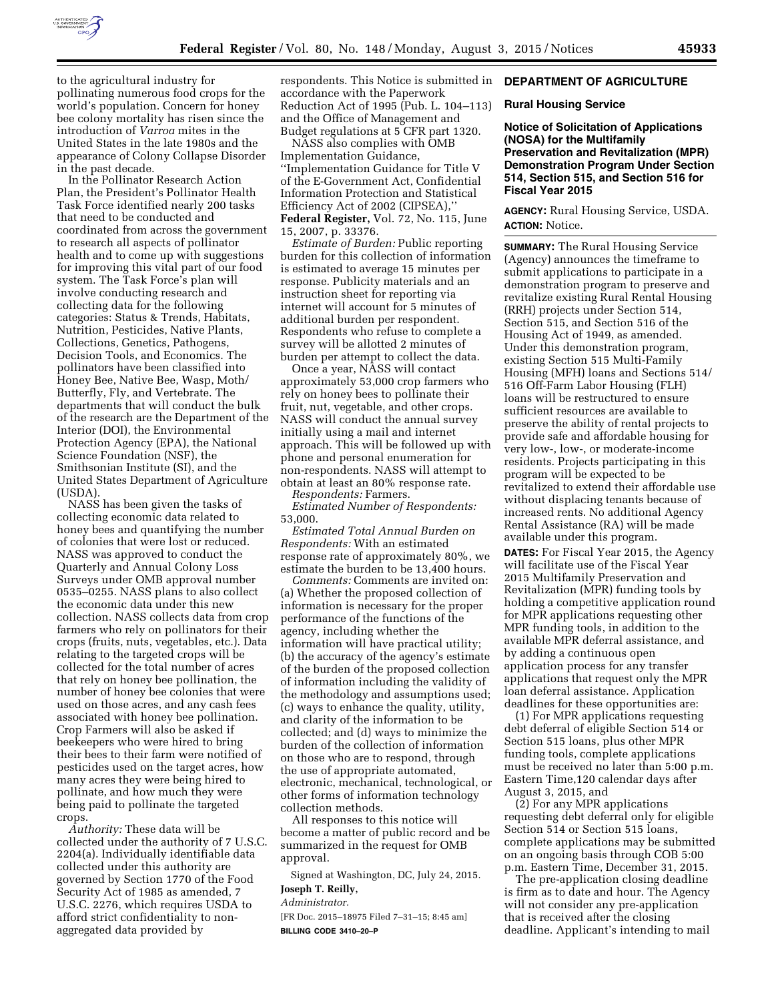

to the agricultural industry for pollinating numerous food crops for the world's population. Concern for honey bee colony mortality has risen since the introduction of *Varroa* mites in the United States in the late 1980s and the appearance of Colony Collapse Disorder in the past decade.

In the Pollinator Research Action Plan, the President's Pollinator Health Task Force identified nearly 200 tasks that need to be conducted and coordinated from across the government to research all aspects of pollinator health and to come up with suggestions for improving this vital part of our food system. The Task Force's plan will involve conducting research and collecting data for the following categories: Status & Trends, Habitats, Nutrition, Pesticides, Native Plants, Collections, Genetics, Pathogens, Decision Tools, and Economics. The pollinators have been classified into Honey Bee, Native Bee, Wasp, Moth/ Butterfly, Fly, and Vertebrate. The departments that will conduct the bulk of the research are the Department of the Interior (DOI), the Environmental Protection Agency (EPA), the National Science Foundation (NSF), the Smithsonian Institute (SI), and the United States Department of Agriculture (USDA)

NASS has been given the tasks of collecting economic data related to honey bees and quantifying the number of colonies that were lost or reduced. NASS was approved to conduct the Quarterly and Annual Colony Loss Surveys under OMB approval number 0535–0255. NASS plans to also collect the economic data under this new collection. NASS collects data from crop farmers who rely on pollinators for their crops (fruits, nuts, vegetables, etc.). Data relating to the targeted crops will be collected for the total number of acres that rely on honey bee pollination, the number of honey bee colonies that were used on those acres, and any cash fees associated with honey bee pollination. Crop Farmers will also be asked if beekeepers who were hired to bring their bees to their farm were notified of pesticides used on the target acres, how many acres they were being hired to pollinate, and how much they were being paid to pollinate the targeted crops.

*Authority:* These data will be collected under the authority of 7 U.S.C. 2204(a). Individually identifiable data collected under this authority are governed by Section 1770 of the Food Security Act of 1985 as amended, 7 U.S.C. 2276, which requires USDA to afford strict confidentiality to nonaggregated data provided by

respondents. This Notice is submitted in accordance with the Paperwork Reduction Act of 1995 (Pub. L. 104–113) and the Office of Management and Budget regulations at 5 CFR part 1320.

NASS also complies with OMB Implementation Guidance, ''Implementation Guidance for Title V of the E-Government Act, Confidential Information Protection and Statistical Efficiency Act of 2002 (CIPSEA),'' **Federal Register,** Vol. 72, No. 115, June 15, 2007, p. 33376.

*Estimate of Burden:* Public reporting burden for this collection of information is estimated to average 15 minutes per response. Publicity materials and an instruction sheet for reporting via internet will account for 5 minutes of additional burden per respondent. Respondents who refuse to complete a survey will be allotted 2 minutes of burden per attempt to collect the data.

Once a year, NASS will contact approximately 53,000 crop farmers who rely on honey bees to pollinate their fruit, nut, vegetable, and other crops. NASS will conduct the annual survey initially using a mail and internet approach. This will be followed up with phone and personal enumeration for non-respondents. NASS will attempt to obtain at least an 80% response rate.

*Respondents:* Farmers. *Estimated Number of Respondents:*  53,000.

*Estimated Total Annual Burden on Respondents:* With an estimated response rate of approximately 80%, we estimate the burden to be 13,400 hours.

*Comments:* Comments are invited on: (a) Whether the proposed collection of information is necessary for the proper performance of the functions of the agency, including whether the information will have practical utility; (b) the accuracy of the agency's estimate of the burden of the proposed collection of information including the validity of the methodology and assumptions used; (c) ways to enhance the quality, utility, and clarity of the information to be collected; and (d) ways to minimize the burden of the collection of information on those who are to respond, through the use of appropriate automated, electronic, mechanical, technological, or other forms of information technology collection methods.

All responses to this notice will become a matter of public record and be summarized in the request for OMB approval.

Signed at Washington, DC, July 24, 2015. **Joseph T. Reilly,** 

*Administrator.* 

[FR Doc. 2015–18975 Filed 7–31–15; 8:45 am] **BILLING CODE 3410–20–P** 

#### **DEPARTMENT OF AGRICULTURE**

#### **Rural Housing Service**

**Notice of Solicitation of Applications (NOSA) for the Multifamily Preservation and Revitalization (MPR) Demonstration Program Under Section 514, Section 515, and Section 516 for Fiscal Year 2015** 

**AGENCY:** Rural Housing Service, USDA. **ACTION:** Notice.

**SUMMARY:** The Rural Housing Service (Agency) announces the timeframe to submit applications to participate in a demonstration program to preserve and revitalize existing Rural Rental Housing (RRH) projects under Section 514, Section 515, and Section 516 of the Housing Act of 1949, as amended. Under this demonstration program, existing Section 515 Multi-Family Housing (MFH) loans and Sections 514/ 516 Off-Farm Labor Housing (FLH) loans will be restructured to ensure sufficient resources are available to preserve the ability of rental projects to provide safe and affordable housing for very low-, low-, or moderate-income residents. Projects participating in this program will be expected to be revitalized to extend their affordable use without displacing tenants because of increased rents. No additional Agency Rental Assistance (RA) will be made available under this program.

**DATES:** For Fiscal Year 2015, the Agency will facilitate use of the Fiscal Year 2015 Multifamily Preservation and Revitalization (MPR) funding tools by holding a competitive application round for MPR applications requesting other MPR funding tools, in addition to the available MPR deferral assistance, and by adding a continuous open application process for any transfer applications that request only the MPR loan deferral assistance. Application deadlines for these opportunities are:

(1) For MPR applications requesting debt deferral of eligible Section 514 or Section 515 loans, plus other MPR funding tools, complete applications must be received no later than 5:00 p.m. Eastern Time,120 calendar days after August 3, 2015, and

(2) For any MPR applications requesting debt deferral only for eligible Section 514 or Section 515 loans, complete applications may be submitted on an ongoing basis through COB 5:00 p.m. Eastern Time, December 31, 2015.

The pre-application closing deadline is firm as to date and hour. The Agency will not consider any pre-application that is received after the closing deadline. Applicant's intending to mail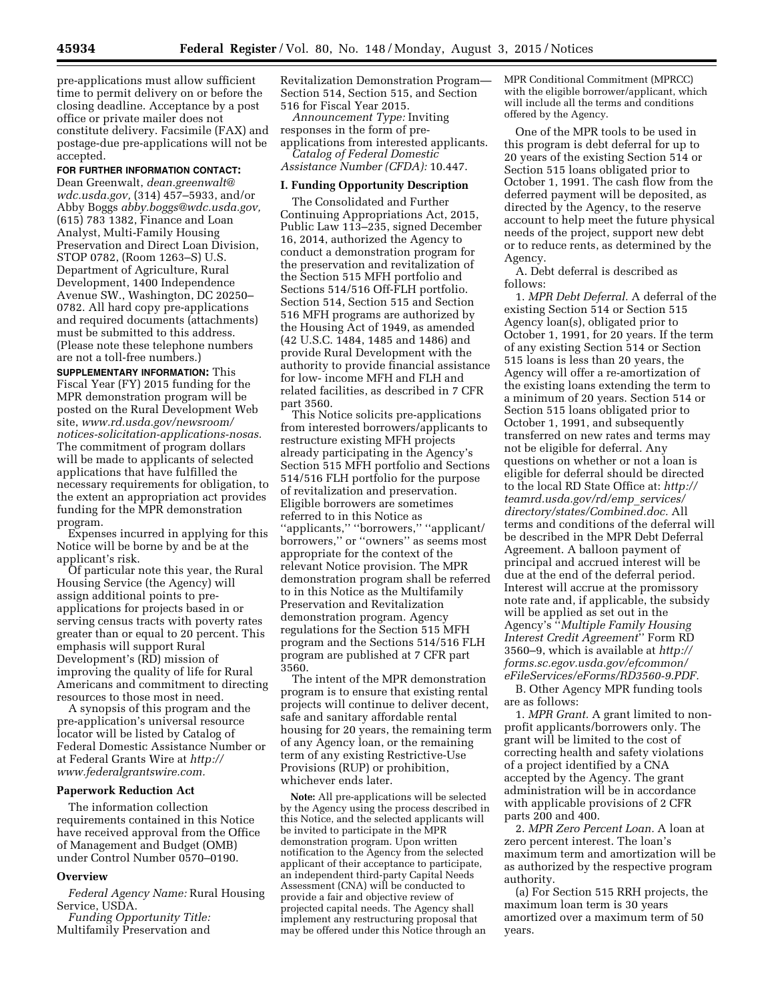pre-applications must allow sufficient time to permit delivery on or before the closing deadline. Acceptance by a post office or private mailer does not constitute delivery. Facsimile (FAX) and postage-due pre-applications will not be accepted.

## **FOR FURTHER INFORMATION CONTACT:**

Dean Greenwalt, *[dean.greenwalt@](mailto:dean.greenwalt@wdc.usda.gov) [wdc.usda.gov,](mailto:dean.greenwalt@wdc.usda.gov)* (314) 457–5933, and/or Abby Boggs *[abby.boggs@wdc.usda.gov,](mailto:abby.boggs@wdc.usda.gov)*  (615) 783 1382, Finance and Loan Analyst, Multi-Family Housing Preservation and Direct Loan Division, STOP 0782, (Room 1263–S) U.S. Department of Agriculture, Rural Development, 1400 Independence Avenue SW., Washington, DC 20250– 0782. All hard copy pre-applications and required documents (attachments) must be submitted to this address. (Please note these telephone numbers are not a toll-free numbers.)

**SUPPLEMENTARY INFORMATION:** This Fiscal Year (FY) 2015 funding for the MPR demonstration program will be posted on the Rural Development Web site, *[www.rd.usda.gov/newsroom/](http://www.rd.usda.gov/newsroom/notices-solicitation-applications-nosas) [notices-solicitation-applications-nosas.](http://www.rd.usda.gov/newsroom/notices-solicitation-applications-nosas)*  The commitment of program dollars will be made to applicants of selected applications that have fulfilled the necessary requirements for obligation, to the extent an appropriation act provides funding for the MPR demonstration program.

Expenses incurred in applying for this Notice will be borne by and be at the applicant's risk.

Of particular note this year, the Rural Housing Service (the Agency) will assign additional points to preapplications for projects based in or serving census tracts with poverty rates greater than or equal to 20 percent. This emphasis will support Rural Development's (RD) mission of improving the quality of life for Rural Americans and commitment to directing resources to those most in need.

A synopsis of this program and the pre-application's universal resource locator will be listed by Catalog of Federal Domestic Assistance Number or at Federal Grants Wire at *[http://](http://www.federalgrantswire.com) [www.federalgrantswire.com.](http://www.federalgrantswire.com)* 

# **Paperwork Reduction Act**

The information collection requirements contained in this Notice have received approval from the Office of Management and Budget (OMB) under Control Number 0570–0190.

#### **Overview**

*Federal Agency Name:* Rural Housing Service, USDA.

*Funding Opportunity Title:*  Multifamily Preservation and Revitalization Demonstration Program— Section 514, Section 515, and Section 516 for Fiscal Year 2015.

*Announcement Type:* Inviting responses in the form of preapplications from interested applicants.

*Catalog of Federal Domestic Assistance Number (CFDA):* 10.447.

# **I. Funding Opportunity Description**

The Consolidated and Further Continuing Appropriations Act, 2015, Public Law 113–235, signed December 16, 2014, authorized the Agency to conduct a demonstration program for the preservation and revitalization of the Section 515 MFH portfolio and Sections 514/516 Off-FLH portfolio. Section 514, Section 515 and Section 516 MFH programs are authorized by the Housing Act of 1949, as amended (42 U.S.C. 1484, 1485 and 1486) and provide Rural Development with the authority to provide financial assistance for low- income MFH and FLH and related facilities, as described in 7 CFR part 3560.

This Notice solicits pre-applications from interested borrowers/applicants to restructure existing MFH projects already participating in the Agency's Section 515 MFH portfolio and Sections 514/516 FLH portfolio for the purpose of revitalization and preservation. Eligible borrowers are sometimes referred to in this Notice as ''applicants,'' ''borrowers,'' ''applicant/ borrowers,'' or ''owners'' as seems most appropriate for the context of the relevant Notice provision. The MPR demonstration program shall be referred to in this Notice as the Multifamily Preservation and Revitalization demonstration program. Agency regulations for the Section 515 MFH program and the Sections 514/516 FLH program are published at 7 CFR part 3560.

The intent of the MPR demonstration program is to ensure that existing rental projects will continue to deliver decent, safe and sanitary affordable rental housing for 20 years, the remaining term of any Agency loan, or the remaining term of any existing Restrictive-Use Provisions (RUP) or prohibition, whichever ends later.

**Note:** All pre-applications will be selected by the Agency using the process described in this Notice, and the selected applicants will be invited to participate in the MPR demonstration program. Upon written notification to the Agency from the selected applicant of their acceptance to participate, an independent third-party Capital Needs Assessment (CNA) will be conducted to provide a fair and objective review of projected capital needs. The Agency shall implement any restructuring proposal that may be offered under this Notice through an

MPR Conditional Commitment (MPRCC) with the eligible borrower/applicant, which will include all the terms and conditions offered by the Agency.

One of the MPR tools to be used in this program is debt deferral for up to 20 years of the existing Section 514 or Section 515 loans obligated prior to October 1, 1991. The cash flow from the deferred payment will be deposited, as directed by the Agency, to the reserve account to help meet the future physical needs of the project, support new debt or to reduce rents, as determined by the Agency.

A. Debt deferral is described as follows:

1. *MPR Debt Deferral.* A deferral of the existing Section 514 or Section 515 Agency loan(s), obligated prior to October 1, 1991, for 20 years. If the term of any existing Section 514 or Section 515 loans is less than 20 years, the Agency will offer a re-amortization of the existing loans extending the term to a minimum of 20 years. Section 514 or Section 515 loans obligated prior to October 1, 1991, and subsequently transferred on new rates and terms may not be eligible for deferral. Any questions on whether or not a loan is eligible for deferral should be directed to the local RD State Office at: *[http://](http://teamrd.usda.gov/rd/emp_services/directory/states/Combined.doc) [teamrd.usda.gov/rd/emp](http://teamrd.usda.gov/rd/emp_services/directory/states/Combined.doc)*\_*services/ [directory/states/Combined.doc.](http://teamrd.usda.gov/rd/emp_services/directory/states/Combined.doc)* All terms and conditions of the deferral will be described in the MPR Debt Deferral Agreement. A balloon payment of principal and accrued interest will be due at the end of the deferral period. Interest will accrue at the promissory note rate and, if applicable, the subsidy will be applied as set out in the Agency's ''*Multiple Family Housing Interest Credit Agreement*'' Form RD 3560–9, which is available at *[http://](http://forms.sc.egov.usda.gov/efcommon/eFileServices/eForms/RD3560-9.PDF) [forms.sc.egov.usda.gov/efcommon/](http://forms.sc.egov.usda.gov/efcommon/eFileServices/eForms/RD3560-9.PDF) [eFileServices/eForms/RD3560-9.PDF.](http://forms.sc.egov.usda.gov/efcommon/eFileServices/eForms/RD3560-9.PDF)* 

B. Other Agency MPR funding tools are as follows:

1. *MPR Grant.* A grant limited to nonprofit applicants/borrowers only. The grant will be limited to the cost of correcting health and safety violations of a project identified by a CNA accepted by the Agency. The grant administration will be in accordance with applicable provisions of 2 CFR parts 200 and 400.

2. *MPR Zero Percent Loan.* A loan at zero percent interest. The loan's maximum term and amortization will be as authorized by the respective program authority.

(a) For Section 515 RRH projects, the maximum loan term is 30 years amortized over a maximum term of 50 years.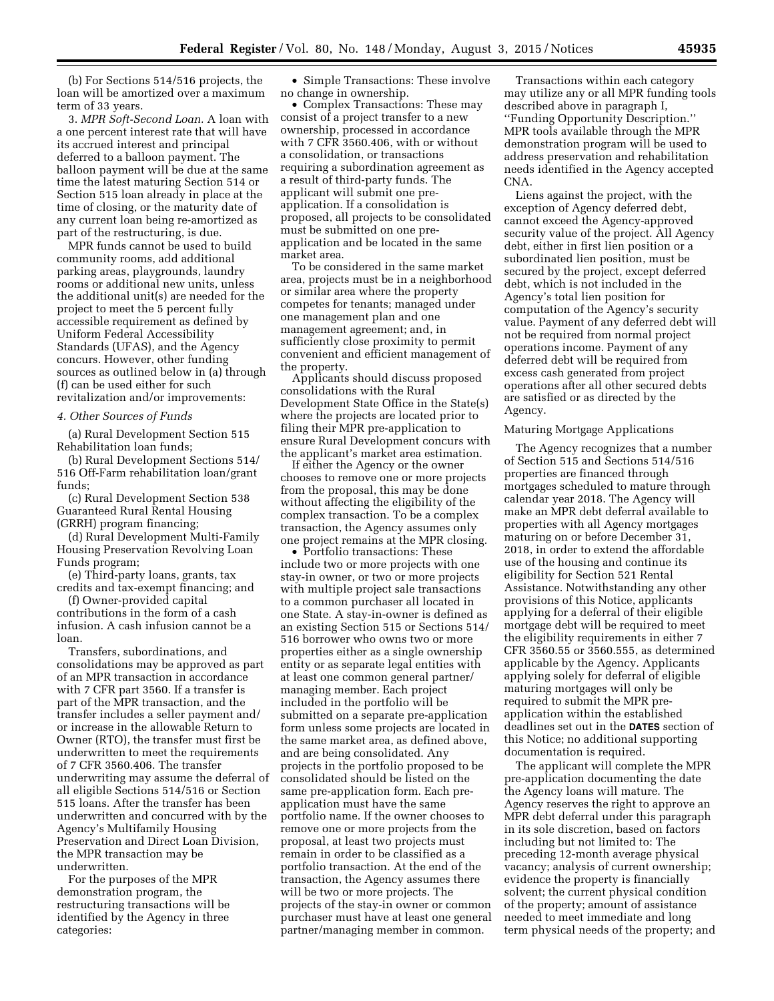(b) For Sections 514/516 projects, the loan will be amortized over a maximum term of 33 years.

3. *MPR Soft-Second Loan.* A loan with a one percent interest rate that will have its accrued interest and principal deferred to a balloon payment. The balloon payment will be due at the same time the latest maturing Section 514 or Section 515 loan already in place at the time of closing, or the maturity date of any current loan being re-amortized as part of the restructuring, is due.

MPR funds cannot be used to build community rooms, add additional parking areas, playgrounds, laundry rooms or additional new units, unless the additional unit(s) are needed for the project to meet the 5 percent fully accessible requirement as defined by Uniform Federal Accessibility Standards (UFAS), and the Agency concurs. However, other funding sources as outlined below in (a) through (f) can be used either for such revitalization and/or improvements:

### *4. Other Sources of Funds*

(a) Rural Development Section 515 Rehabilitation loan funds;

(b) Rural Development Sections 514/ 516 Off-Farm rehabilitation loan/grant funds;

(c) Rural Development Section 538 Guaranteed Rural Rental Housing (GRRH) program financing;

(d) Rural Development Multi-Family Housing Preservation Revolving Loan Funds program;

(e) Third-party loans, grants, tax credits and tax-exempt financing; and

(f) Owner-provided capital contributions in the form of a cash infusion. A cash infusion cannot be a loan.

Transfers, subordinations, and consolidations may be approved as part of an MPR transaction in accordance with 7 CFR part 3560. If a transfer is part of the MPR transaction, and the transfer includes a seller payment and/ or increase in the allowable Return to Owner (RTO), the transfer must first be underwritten to meet the requirements of 7 CFR 3560.406. The transfer underwriting may assume the deferral of all eligible Sections 514/516 or Section 515 loans. After the transfer has been underwritten and concurred with by the Agency's Multifamily Housing Preservation and Direct Loan Division, the MPR transaction may be underwritten.

For the purposes of the MPR demonstration program, the restructuring transactions will be identified by the Agency in three categories:

• Simple Transactions: These involve no change in ownership.

• Complex Transactions: These may consist of a project transfer to a new ownership, processed in accordance with 7 CFR 3560.406, with or without a consolidation, or transactions requiring a subordination agreement as a result of third-party funds. The applicant will submit one preapplication. If a consolidation is proposed, all projects to be consolidated must be submitted on one preapplication and be located in the same market area.

To be considered in the same market area, projects must be in a neighborhood or similar area where the property competes for tenants; managed under one management plan and one management agreement; and, in sufficiently close proximity to permit convenient and efficient management of the property.

Applicants should discuss proposed consolidations with the Rural Development State Office in the State(s) where the projects are located prior to filing their MPR pre-application to ensure Rural Development concurs with the applicant's market area estimation.

If either the Agency or the owner chooses to remove one or more projects from the proposal, this may be done without affecting the eligibility of the complex transaction. To be a complex transaction, the Agency assumes only one project remains at the MPR closing.

• Portfolio transactions: These include two or more projects with one stay-in owner, or two or more projects with multiple project sale transactions to a common purchaser all located in one State. A stay-in-owner is defined as an existing Section 515 or Sections 514/ 516 borrower who owns two or more properties either as a single ownership entity or as separate legal entities with at least one common general partner/ managing member. Each project included in the portfolio will be submitted on a separate pre-application form unless some projects are located in the same market area, as defined above, and are being consolidated. Any projects in the portfolio proposed to be consolidated should be listed on the same pre-application form. Each preapplication must have the same portfolio name. If the owner chooses to remove one or more projects from the proposal, at least two projects must remain in order to be classified as a portfolio transaction. At the end of the transaction, the Agency assumes there will be two or more projects. The projects of the stay-in owner or common purchaser must have at least one general partner/managing member in common.

Transactions within each category may utilize any or all MPR funding tools described above in paragraph I, ''Funding Opportunity Description.'' MPR tools available through the MPR demonstration program will be used to address preservation and rehabilitation needs identified in the Agency accepted CNA.

Liens against the project, with the exception of Agency deferred debt, cannot exceed the Agency-approved security value of the project. All Agency debt, either in first lien position or a subordinated lien position, must be secured by the project, except deferred debt, which is not included in the Agency's total lien position for computation of the Agency's security value. Payment of any deferred debt will not be required from normal project operations income. Payment of any deferred debt will be required from excess cash generated from project operations after all other secured debts are satisfied or as directed by the Agency.

## Maturing Mortgage Applications

The Agency recognizes that a number of Section 515 and Sections 514/516 properties are financed through mortgages scheduled to mature through calendar year 2018. The Agency will make an MPR debt deferral available to properties with all Agency mortgages maturing on or before December 31, 2018, in order to extend the affordable use of the housing and continue its eligibility for Section 521 Rental Assistance. Notwithstanding any other provisions of this Notice, applicants applying for a deferral of their eligible mortgage debt will be required to meet the eligibility requirements in either 7 CFR 3560.55 or 3560.555, as determined applicable by the Agency. Applicants applying solely for deferral of eligible maturing mortgages will only be required to submit the MPR preapplication within the established deadlines set out in the **DATES** section of this Notice; no additional supporting documentation is required.

The applicant will complete the MPR pre-application documenting the date the Agency loans will mature. The Agency reserves the right to approve an MPR debt deferral under this paragraph in its sole discretion, based on factors including but not limited to: The preceding 12-month average physical vacancy; analysis of current ownership; evidence the property is financially solvent; the current physical condition of the property; amount of assistance needed to meet immediate and long term physical needs of the property; and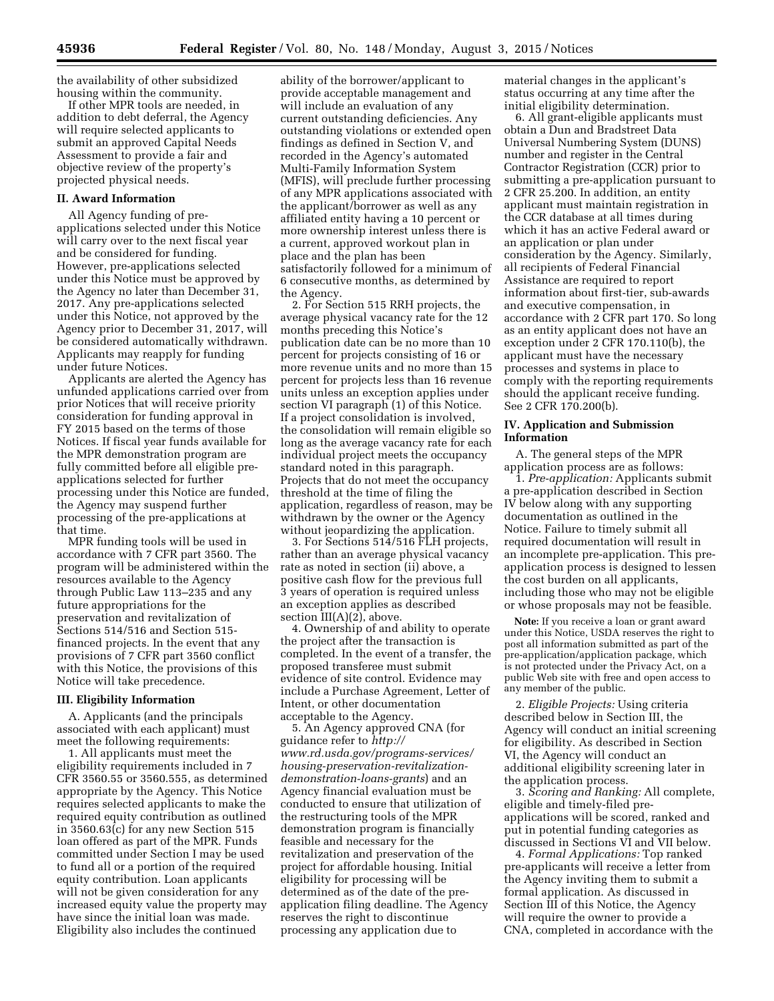the availability of other subsidized housing within the community.

If other MPR tools are needed, in addition to debt deferral, the Agency will require selected applicants to submit an approved Capital Needs Assessment to provide a fair and objective review of the property's projected physical needs.

## **II. Award Information**

All Agency funding of preapplications selected under this Notice will carry over to the next fiscal year and be considered for funding. However, pre-applications selected under this Notice must be approved by the Agency no later than December 31, 2017. Any pre-applications selected under this Notice, not approved by the Agency prior to December 31, 2017, will be considered automatically withdrawn. Applicants may reapply for funding under future Notices.

Applicants are alerted the Agency has unfunded applications carried over from prior Notices that will receive priority consideration for funding approval in FY 2015 based on the terms of those Notices. If fiscal year funds available for the MPR demonstration program are fully committed before all eligible preapplications selected for further processing under this Notice are funded, the Agency may suspend further processing of the pre-applications at that time.

MPR funding tools will be used in accordance with 7 CFR part 3560. The program will be administered within the resources available to the Agency through Public Law 113–235 and any future appropriations for the preservation and revitalization of Sections 514/516 and Section 515 financed projects. In the event that any provisions of 7 CFR part 3560 conflict with this Notice, the provisions of this Notice will take precedence.

## **III. Eligibility Information**

A. Applicants (and the principals associated with each applicant) must meet the following requirements:

1. All applicants must meet the eligibility requirements included in 7 CFR 3560.55 or 3560.555, as determined appropriate by the Agency. This Notice requires selected applicants to make the required equity contribution as outlined in 3560.63(c) for any new Section 515 loan offered as part of the MPR. Funds committed under Section I may be used to fund all or a portion of the required equity contribution. Loan applicants will not be given consideration for any increased equity value the property may have since the initial loan was made. Eligibility also includes the continued

ability of the borrower/applicant to provide acceptable management and will include an evaluation of any current outstanding deficiencies. Any outstanding violations or extended open findings as defined in Section V, and recorded in the Agency's automated Multi-Family Information System (MFIS), will preclude further processing of any MPR applications associated with the applicant/borrower as well as any affiliated entity having a 10 percent or more ownership interest unless there is a current, approved workout plan in place and the plan has been satisfactorily followed for a minimum of 6 consecutive months, as determined by the Agency.

2. For Section 515 RRH projects, the average physical vacancy rate for the 12 months preceding this Notice's publication date can be no more than 10 percent for projects consisting of 16 or more revenue units and no more than 15 percent for projects less than 16 revenue units unless an exception applies under section VI paragraph (1) of this Notice. If a project consolidation is involved, the consolidation will remain eligible so long as the average vacancy rate for each individual project meets the occupancy standard noted in this paragraph. Projects that do not meet the occupancy threshold at the time of filing the application, regardless of reason, may be withdrawn by the owner or the Agency without jeopardizing the application.

3. For Sections 514/516 FLH projects, rather than an average physical vacancy rate as noted in section (ii) above, a positive cash flow for the previous full 3 years of operation is required unless an exception applies as described section  $III(A)(2)$ , above.

4. Ownership of and ability to operate the project after the transaction is completed. In the event of a transfer, the proposed transferee must submit evidence of site control. Evidence may include a Purchase Agreement, Letter of Intent, or other documentation acceptable to the Agency.

5. An Agency approved CNA (for guidance refer to *[http://](http://www.rd.usda.gov/programs-services/housing-preservation-revitalization-demonstration-loans-grants) [www.rd.usda.gov/programs-services/](http://www.rd.usda.gov/programs-services/housing-preservation-revitalization-demonstration-loans-grants) [housing-preservation-revitalization](http://www.rd.usda.gov/programs-services/housing-preservation-revitalization-demonstration-loans-grants)[demonstration-loans-grants](http://www.rd.usda.gov/programs-services/housing-preservation-revitalization-demonstration-loans-grants)*) and an Agency financial evaluation must be conducted to ensure that utilization of the restructuring tools of the MPR demonstration program is financially feasible and necessary for the revitalization and preservation of the project for affordable housing. Initial eligibility for processing will be determined as of the date of the preapplication filing deadline. The Agency reserves the right to discontinue processing any application due to

material changes in the applicant's status occurring at any time after the initial eligibility determination.

6. All grant-eligible applicants must obtain a Dun and Bradstreet Data Universal Numbering System (DUNS) number and register in the Central Contractor Registration (CCR) prior to submitting a pre-application pursuant to 2 CFR 25.200. In addition, an entity applicant must maintain registration in the CCR database at all times during which it has an active Federal award or an application or plan under consideration by the Agency. Similarly, all recipients of Federal Financial Assistance are required to report information about first-tier, sub-awards and executive compensation, in accordance with 2 CFR part 170. So long as an entity applicant does not have an exception under 2 CFR 170.110(b), the applicant must have the necessary processes and systems in place to comply with the reporting requirements should the applicant receive funding. See 2 CFR 170.200(b).

# **IV. Application and Submission Information**

A. The general steps of the MPR application process are as follows:

1. *Pre-application:* Applicants submit a pre-application described in Section IV below along with any supporting documentation as outlined in the Notice. Failure to timely submit all required documentation will result in an incomplete pre-application. This preapplication process is designed to lessen the cost burden on all applicants, including those who may not be eligible or whose proposals may not be feasible.

**Note:** If you receive a loan or grant award under this Notice, USDA reserves the right to post all information submitted as part of the pre-application/application package, which is not protected under the Privacy Act, on a public Web site with free and open access to any member of the public.

2. *Eligible Projects:* Using criteria described below in Section III, the Agency will conduct an initial screening for eligibility. As described in Section VI, the Agency will conduct an additional eligibility screening later in the application process.

3. *Scoring and Ranking:* All complete, eligible and timely-filed preapplications will be scored, ranked and put in potential funding categories as discussed in Sections VI and VII below.

4. *Formal Applications:* Top ranked pre-applicants will receive a letter from the Agency inviting them to submit a formal application. As discussed in Section III of this Notice, the Agency will require the owner to provide a CNA, completed in accordance with the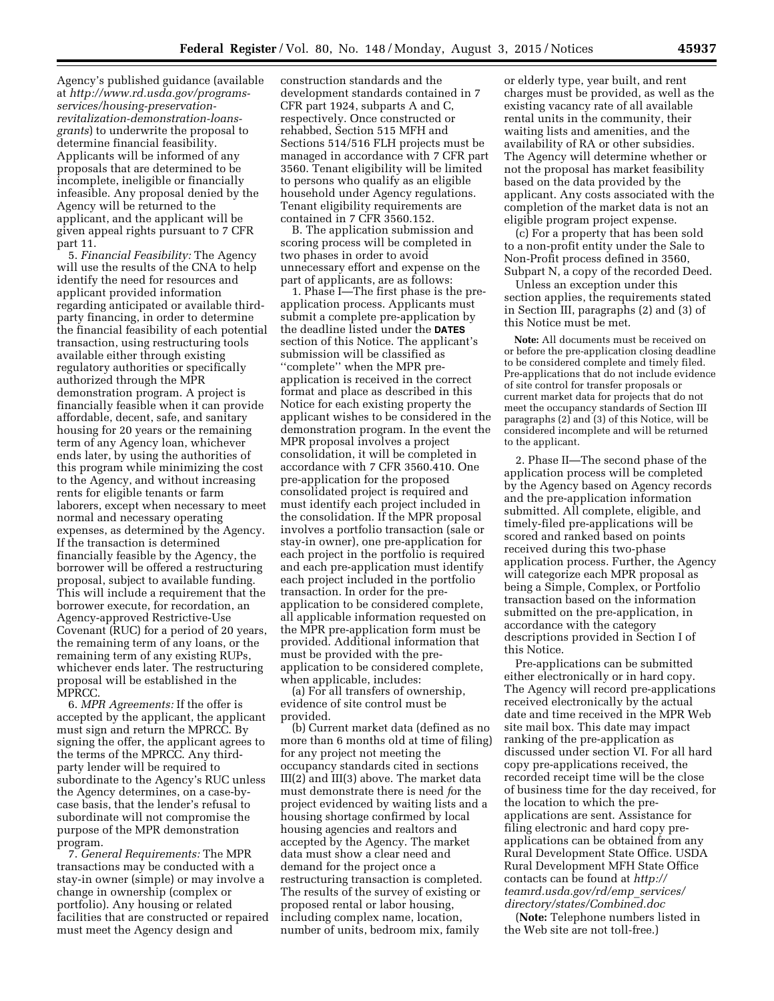Agency's published guidance (available at *[http://www.rd.usda.gov/programs](http://www.rd.usda.gov/programs-services/housing-preservation-revitalization-demonstration-loans-grants)[services/housing-preservation](http://www.rd.usda.gov/programs-services/housing-preservation-revitalization-demonstration-loans-grants)[revitalization-demonstration-loans](http://www.rd.usda.gov/programs-services/housing-preservation-revitalization-demonstration-loans-grants)[grants](http://www.rd.usda.gov/programs-services/housing-preservation-revitalization-demonstration-loans-grants)*) to underwrite the proposal to determine financial feasibility. Applicants will be informed of any proposals that are determined to be incomplete, ineligible or financially infeasible. Any proposal denied by the Agency will be returned to the applicant, and the applicant will be given appeal rights pursuant to 7 CFR part 11.

5. *Financial Feasibility:* The Agency will use the results of the CNA to help identify the need for resources and applicant provided information regarding anticipated or available thirdparty financing, in order to determine the financial feasibility of each potential transaction, using restructuring tools available either through existing regulatory authorities or specifically authorized through the MPR demonstration program. A project is financially feasible when it can provide affordable, decent, safe, and sanitary housing for 20 years or the remaining term of any Agency loan, whichever ends later, by using the authorities of this program while minimizing the cost to the Agency, and without increasing rents for eligible tenants or farm laborers, except when necessary to meet normal and necessary operating expenses, as determined by the Agency. If the transaction is determined financially feasible by the Agency, the borrower will be offered a restructuring proposal, subject to available funding. This will include a requirement that the borrower execute, for recordation, an Agency-approved Restrictive-Use Covenant (RUC) for a period of 20 years, the remaining term of any loans, or the remaining term of any existing RUPs, whichever ends later. The restructuring proposal will be established in the MPRCC.

6. *MPR Agreements:* If the offer is accepted by the applicant, the applicant must sign and return the MPRCC. By signing the offer, the applicant agrees to the terms of the MPRCC. Any thirdparty lender will be required to subordinate to the Agency's RUC unless the Agency determines, on a case-bycase basis, that the lender's refusal to subordinate will not compromise the purpose of the MPR demonstration program.

7. *General Requirements:* The MPR transactions may be conducted with a stay-in owner (simple) or may involve a change in ownership (complex or portfolio). Any housing or related facilities that are constructed or repaired must meet the Agency design and

construction standards and the development standards contained in 7 CFR part 1924, subparts A and C, respectively. Once constructed or rehabbed, Section 515 MFH and Sections 514/516 FLH projects must be managed in accordance with 7 CFR part 3560. Tenant eligibility will be limited to persons who qualify as an eligible household under Agency regulations. Tenant eligibility requirements are contained in 7 CFR 3560.152.

B. The application submission and scoring process will be completed in two phases in order to avoid unnecessary effort and expense on the part of applicants, are as follows:

1. Phase I—The first phase is the preapplication process. Applicants must submit a complete pre-application by the deadline listed under the **DATES** section of this Notice. The applicant's submission will be classified as ''complete'' when the MPR preapplication is received in the correct format and place as described in this Notice for each existing property the applicant wishes to be considered in the demonstration program. In the event the MPR proposal involves a project consolidation, it will be completed in accordance with 7 CFR 3560.410. One pre-application for the proposed consolidated project is required and must identify each project included in the consolidation. If the MPR proposal involves a portfolio transaction (sale or stay-in owner), one pre-application for each project in the portfolio is required and each pre-application must identify each project included in the portfolio transaction. In order for the preapplication to be considered complete, all applicable information requested on the MPR pre-application form must be provided. Additional information that must be provided with the preapplication to be considered complete, when applicable, includes:

(a) For all transfers of ownership, evidence of site control must be provided.

(b) Current market data (defined as no more than 6 months old at time of filing) for any project not meeting the occupancy standards cited in sections III(2) and III(3) above. The market data must demonstrate there is need *f*or the project evidenced by waiting lists and a housing shortage confirmed by local housing agencies and realtors and accepted by the Agency. The market data must show a clear need and demand for the project once a restructuring transaction is completed. The results of the survey of existing or proposed rental or labor housing, including complex name, location, number of units, bedroom mix, family

or elderly type, year built, and rent charges must be provided, as well as the existing vacancy rate of all available rental units in the community, their waiting lists and amenities, and the availability of RA or other subsidies. The Agency will determine whether or not the proposal has market feasibility based on the data provided by the applicant. Any costs associated with the completion of the market data is not an eligible program project expense.

(c) For a property that has been sold to a non-profit entity under the Sale to Non-Profit process defined in 3560, Subpart N, a copy of the recorded Deed.

Unless an exception under this section applies, the requirements stated in Section III, paragraphs (2) and (3) of this Notice must be met.

**Note:** All documents must be received on or before the pre-application closing deadline to be considered complete and timely filed. Pre-applications that do not include evidence of site control for transfer proposals or current market data for projects that do not meet the occupancy standards of Section III paragraphs (2) and (3) of this Notice, will be considered incomplete and will be returned to the applicant.

2. Phase II—The second phase of the application process will be completed by the Agency based on Agency records and the pre-application information submitted. All complete, eligible, and timely-filed pre-applications will be scored and ranked based on points received during this two-phase application process. Further, the Agency will categorize each MPR proposal as being a Simple, Complex, or Portfolio transaction based on the information submitted on the pre-application, in accordance with the category descriptions provided in Section I of this Notice.

Pre-applications can be submitted either electronically or in hard copy. The Agency will record pre-applications received electronically by the actual date and time received in the MPR Web site mail box. This date may impact ranking of the pre-application as discussed under section VI. For all hard copy pre-applications received, the recorded receipt time will be the close of business time for the day received, for the location to which the preapplications are sent. Assistance for filing electronic and hard copy preapplications can be obtained from any Rural Development State Office. USDA Rural Development MFH State Office contacts can be found at *[http://](http://teamrd.usda.gov/rd/emp_services/directory/states/Combined.doc) [teamrd.usda.gov/rd/emp](http://teamrd.usda.gov/rd/emp_services/directory/states/Combined.doc)*\_*services/ [directory/states/Combined.doc](http://teamrd.usda.gov/rd/emp_services/directory/states/Combined.doc)* 

(**Note:** Telephone numbers listed in the Web site are not toll-free.)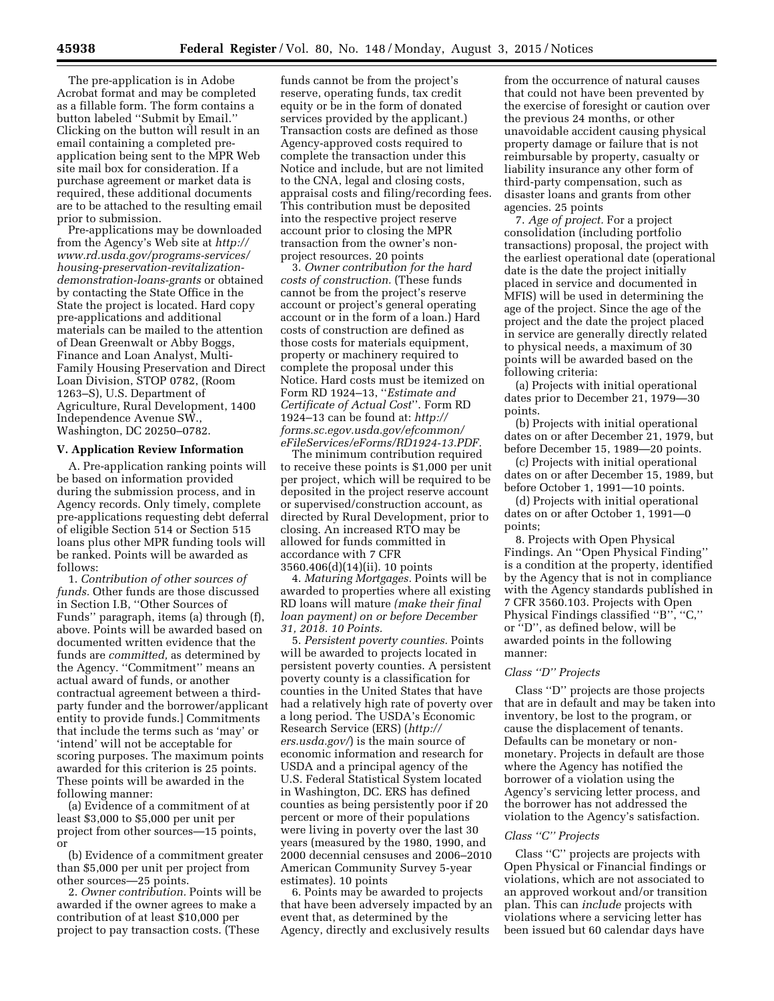The pre-application is in Adobe Acrobat format and may be completed as a fillable form. The form contains a button labeled ''Submit by Email.'' Clicking on the button will result in an email containing a completed preapplication being sent to the MPR Web site mail box for consideration. If a purchase agreement or market data is required, these additional documents are to be attached to the resulting email prior to submission.

Pre-applications may be downloaded from the Agency's Web site at *[http://](http://www.rd.usda.gov/programs-services/housing-preservation-revitalization-demonstration-loans-grants) [www.rd.usda.gov/programs-services/](http://www.rd.usda.gov/programs-services/housing-preservation-revitalization-demonstration-loans-grants) [housing-preservation-revitalization](http://www.rd.usda.gov/programs-services/housing-preservation-revitalization-demonstration-loans-grants)[demonstration-loans-grants](http://www.rd.usda.gov/programs-services/housing-preservation-revitalization-demonstration-loans-grants)* or obtained by contacting the State Office in the State the project is located. Hard copy pre-applications and additional materials can be mailed to the attention of Dean Greenwalt or Abby Boggs, Finance and Loan Analyst, Multi-Family Housing Preservation and Direct Loan Division, STOP 0782, (Room 1263–S), U.S. Department of Agriculture, Rural Development, 1400 Independence Avenue SW., Washington, DC 20250–0782.

## **V. Application Review Information**

A. Pre-application ranking points will be based on information provided during the submission process, and in Agency records. Only timely, complete pre-applications requesting debt deferral of eligible Section 514 or Section 515 loans plus other MPR funding tools will be ranked. Points will be awarded as follows:

1. *Contribution of other sources of funds.* Other funds are those discussed in Section I.B, ''Other Sources of Funds'' paragraph, items (a) through (f), above. Points will be awarded based on documented written evidence that the funds are *committed,* as determined by the Agency. ''Commitment'' means an actual award of funds, or another contractual agreement between a thirdparty funder and the borrower/applicant entity to provide funds.] Commitments that include the terms such as 'may' or 'intend' will not be acceptable for scoring purposes. The maximum points awarded for this criterion is 25 points. These points will be awarded in the following manner:

(a) Evidence of a commitment of at least \$3,000 to \$5,000 per unit per project from other sources—15 points, or

(b) Evidence of a commitment greater than \$5,000 per unit per project from other sources—25 points.

2. *Owner contribution.* Points will be awarded if the owner agrees to make a contribution of at least \$10,000 per project to pay transaction costs. (These

funds cannot be from the project's reserve, operating funds, tax credit equity or be in the form of donated services provided by the applicant.) Transaction costs are defined as those Agency-approved costs required to complete the transaction under this Notice and include, but are not limited to the CNA, legal and closing costs, appraisal costs and filing/recording fees. This contribution must be deposited into the respective project reserve account prior to closing the MPR transaction from the owner's nonproject resources. 20 points

3. *Owner contribution for the hard costs of construction.* (These funds cannot be from the project's reserve account or project's general operating account or in the form of a loan.) Hard costs of construction are defined as those costs for materials equipment, property or machinery required to complete the proposal under this Notice. Hard costs must be itemized on Form RD 1924–13, ''*Estimate and Certificate of Actual Cost*''. Form RD 1924–13 can be found at: *[http://](http://forms.sc.egov.usda.gov/efcommon/eFileServices/eForms/RD1924-13.PDF) [forms.sc.egov.usda.gov/efcommon/](http://forms.sc.egov.usda.gov/efcommon/eFileServices/eForms/RD1924-13.PDF) [eFileServices/eForms/RD1924-13.PDF.](http://forms.sc.egov.usda.gov/efcommon/eFileServices/eForms/RD1924-13.PDF)* 

The minimum contribution required to receive these points is \$1,000 per unit per project, which will be required to be deposited in the project reserve account or supervised/construction account, as directed by Rural Development, prior to closing. An increased RTO may be allowed for funds committed in accordance with 7 CFR 3560.406(d)(14)(ii). 10 points

4. *Maturing Mortgages.* Points will be awarded to properties where all existing RD loans will mature *(make their final loan payment) on or before December 31, 2018. 10 Points.* 

5. *Persistent poverty counties.* Points will be awarded to projects located in persistent poverty counties. A persistent poverty county is a classification for counties in the United States that have had a relatively high rate of poverty over a long period. The USDA's Economic Research Service (ERS) (*[http://](http://ers.usda.gov/) [ers.usda.gov/](http://ers.usda.gov/)*) is the main source of economic information and research for USDA and a principal agency of the U.S. Federal Statistical System located in Washington, DC. ERS has defined counties as being persistently poor if 20 percent or more of their populations were living in poverty over the last 30 years (measured by the 1980, 1990, and 2000 decennial censuses and 2006–2010 American Community Survey 5-year estimates). 10 points

6. Points may be awarded to projects that have been adversely impacted by an event that, as determined by the Agency, directly and exclusively results

from the occurrence of natural causes that could not have been prevented by the exercise of foresight or caution over the previous 24 months, or other unavoidable accident causing physical property damage or failure that is not reimbursable by property, casualty or liability insurance any other form of third-party compensation, such as disaster loans and grants from other agencies. 25 points

7. *Age of project.* For a project consolidation (including portfolio transactions) proposal, the project with the earliest operational date (operational date is the date the project initially placed in service and documented in MFIS) will be used in determining the age of the project. Since the age of the project and the date the project placed in service are generally directly related to physical needs, a maximum of 30 points will be awarded based on the following criteria:

(a) Projects with initial operational dates prior to December 21, 1979—30 points.

(b) Projects with initial operational dates on or after December 21, 1979, but before December 15, 1989—20 points.

(c) Projects with initial operational dates on or after December 15, 1989, but before October 1, 1991—10 points.

(d) Projects with initial operational dates on or after October 1, 1991—0 points;

8. Projects with Open Physical Findings. An ''Open Physical Finding'' is a condition at the property, identified by the Agency that is not in compliance with the Agency standards published in 7 CFR 3560.103. Projects with Open Physical Findings classified ''B'', ''C,'' or ''D'', as defined below, will be awarded points in the following manner:

# *Class ''D'' Projects*

Class ''D'' projects are those projects that are in default and may be taken into inventory, be lost to the program, or cause the displacement of tenants. Defaults can be monetary or nonmonetary. Projects in default are those where the Agency has notified the borrower of a violation using the Agency's servicing letter process, and the borrower has not addressed the violation to the Agency's satisfaction.

## *Class ''C'' Projects*

Class ''C'' projects are projects with Open Physical or Financial findings or violations, which are not associated to an approved workout and/or transition plan. This can *include* projects with violations where a servicing letter has been issued but 60 calendar days have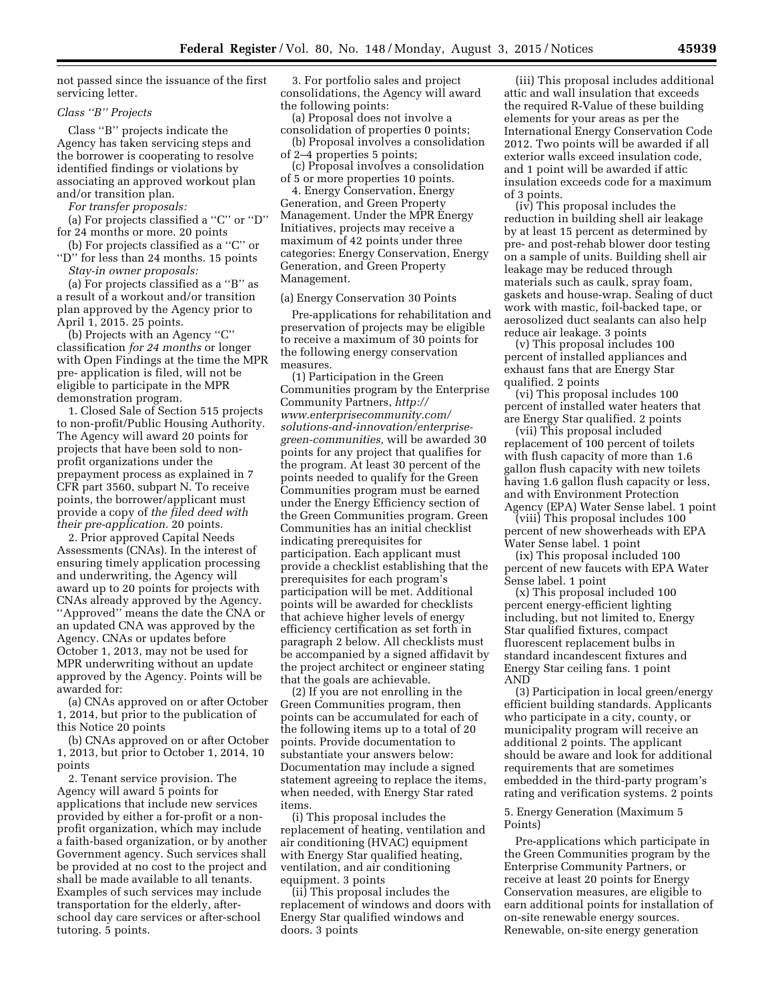not passed since the issuance of the first servicing letter.

### *Class ''B'' Projects*

Class ''B'' projects indicate the Agency has taken servicing steps and the borrower is cooperating to resolve identified findings or violations by associating an approved workout plan and/or transition plan.

*For transfer proposals:* 

(a) For projects classified a ''C'' or ''D'' for 24 months or more. 20 points

(b) For projects classified as a ''C'' or ''D'' for less than 24 months. 15 points

*Stay-in owner proposals:* 

(a) For projects classified as a ''B'' as a result of a workout and/or transition plan approved by the Agency prior to April 1, 2015. 25 points.

(b) Projects with an Agency ''C'' classification *for 24 months* or longer with Open Findings at the time the MPR pre- application is filed, will not be eligible to participate in the MPR demonstration program.

1. Closed Sale of Section 515 projects to non-profit/Public Housing Authority. The Agency will award 20 points for projects that have been sold to nonprofit organizations under the prepayment process as explained in 7 CFR part 3560, subpart N. To receive points, the borrower/applicant must provide a copy of *the filed deed with their pre-application.* 20 points.

2. Prior approved Capital Needs Assessments (CNAs). In the interest of ensuring timely application processing and underwriting, the Agency will award up to 20 points for projects with CNAs already approved by the Agency. ''Approved'' means the date the CNA or an updated CNA was approved by the Agency. CNAs or updates before October 1, 2013, may not be used for MPR underwriting without an update approved by the Agency. Points will be awarded for:

(a) CNAs approved on or after October 1, 2014, but prior to the publication of this Notice 20 points

(b) CNAs approved on or after October 1, 2013, but prior to October 1, 2014, 10 points

2. Tenant service provision. The Agency will award 5 points for applications that include new services provided by either a for-profit or a nonprofit organization, which may include a faith-based organization, or by another Government agency. Such services shall be provided at no cost to the project and shall be made available to all tenants. Examples of such services may include transportation for the elderly, afterschool day care services or after-school tutoring. 5 points.

3. For portfolio sales and project consolidations, the Agency will award the following points:

(a) Proposal does not involve a consolidation of properties 0 points;

(b) Proposal involves a consolidation of 2–4 properties 5 points;

(c) Proposal involves a consolidation of 5 or more properties 10 points.

4. Energy Conservation, Energy Generation, and Green Property Management. Under the MPR Energy Initiatives, projects may receive a maximum of 42 points under three categories: Energy Conservation, Energy Generation, and Green Property Management.

### (a) Energy Conservation 30 Points

Pre-applications for rehabilitation and preservation of projects may be eligible to receive a maximum of 30 points for the following energy conservation measures.

(1) Participation in the Green Communities program by the Enterprise Community Partners, *[http://](http://www.enterprisecommunity.com/solutions-and-innovation/enterprise-green-communities) [www.enterprisecommunity.com/](http://www.enterprisecommunity.com/solutions-and-innovation/enterprise-green-communities) [solutions-and-innovation/enterprise](http://www.enterprisecommunity.com/solutions-and-innovation/enterprise-green-communities)[green-communities,](http://www.enterprisecommunity.com/solutions-and-innovation/enterprise-green-communities)* will be awarded 30 points for any project that qualifies for the program. At least 30 percent of the points needed to qualify for the Green Communities program must be earned under the Energy Efficiency section of the Green Communities program. Green Communities has an initial checklist indicating prerequisites for participation. Each applicant must provide a checklist establishing that the prerequisites for each program's participation will be met. Additional points will be awarded for checklists that achieve higher levels of energy efficiency certification as set forth in paragraph 2 below. All checklists must be accompanied by a signed affidavit by the project architect or engineer stating that the goals are achievable.

(2) If you are not enrolling in the Green Communities program, then points can be accumulated for each of the following items up to a total of 20 points. Provide documentation to substantiate your answers below: Documentation may include a signed statement agreeing to replace the items, when needed, with Energy Star rated items.

(i) This proposal includes the replacement of heating, ventilation and air conditioning (HVAC) equipment with Energy Star qualified heating, ventilation, and air conditioning equipment. 3 points

(ii) This proposal includes the replacement of windows and doors with Energy Star qualified windows and doors. 3 points

(iii) This proposal includes additional attic and wall insulation that exceeds the required R-Value of these building elements for your areas as per the International Energy Conservation Code 2012. Two points will be awarded if all exterior walls exceed insulation code, and 1 point will be awarded if attic insulation exceeds code for a maximum of 3 points.

(iv) This proposal includes the reduction in building shell air leakage by at least 15 percent as determined by pre- and post-rehab blower door testing on a sample of units. Building shell air leakage may be reduced through materials such as caulk, spray foam, gaskets and house-wrap. Sealing of duct work with mastic, foil-backed tape, or aerosolized duct sealants can also help reduce air leakage. 3 points

(v) This proposal includes 100 percent of installed appliances and exhaust fans that are Energy Star qualified. 2 points

(vi) This proposal includes 100 percent of installed water heaters that are Energy Star qualified. 2 points

(vii) This proposal included replacement of 100 percent of toilets with flush capacity of more than 1.6 gallon flush capacity with new toilets having 1.6 gallon flush capacity or less, and with Environment Protection

Agency (EPA) Water Sense label. 1 point (viii) This proposal includes 100 percent of new showerheads with EPA Water Sense label. 1 point

(ix) This proposal included 100 percent of new faucets with EPA Water Sense label. 1 point

(x) This proposal included 100 percent energy-efficient lighting including, but not limited to, Energy Star qualified fixtures, compact fluorescent replacement bulbs in standard incandescent fixtures and Energy Star ceiling fans. 1 point AND

(3) Participation in local green/energy efficient building standards. Applicants who participate in a city, county, or municipality program will receive an additional 2 points. The applicant should be aware and look for additional requirements that are sometimes embedded in the third-party program's rating and verification systems. 2 points

#### 5. Energy Generation (Maximum 5 Points)

Pre-applications which participate in the Green Communities program by the Enterprise Community Partners, or receive at least 20 points for Energy Conservation measures, are eligible to earn additional points for installation of on-site renewable energy sources. Renewable, on-site energy generation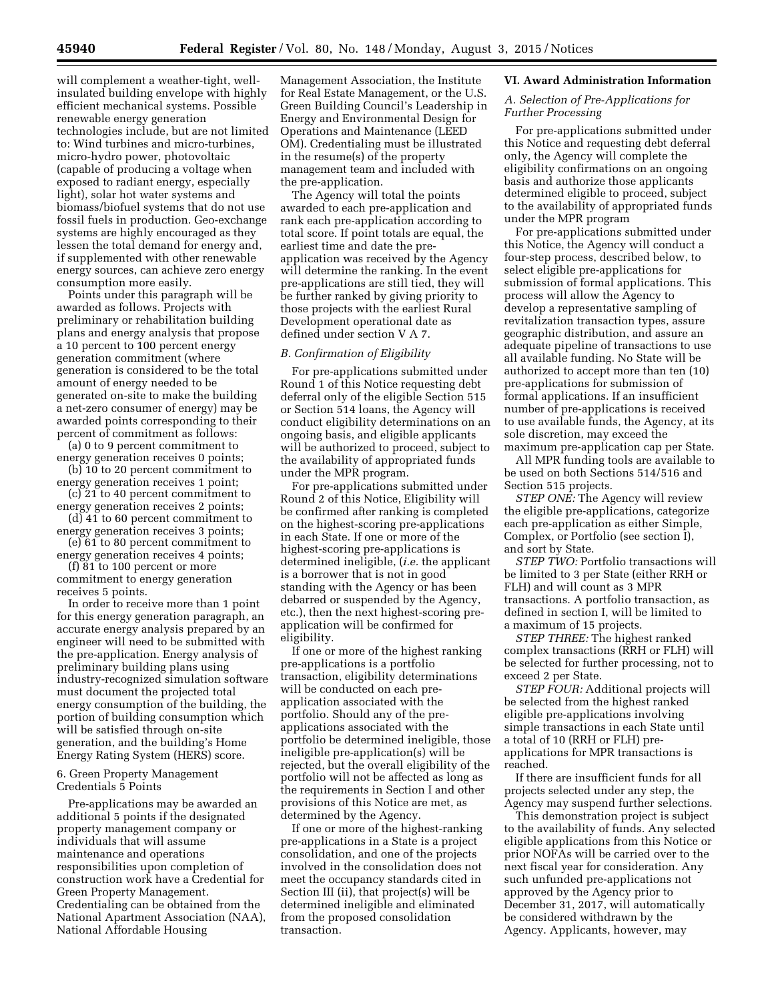will complement a weather-tight, wellinsulated building envelope with highly efficient mechanical systems. Possible renewable energy generation technologies include, but are not limited to: Wind turbines and micro-turbines, micro-hydro power, photovoltaic (capable of producing a voltage when exposed to radiant energy, especially light), solar hot water systems and biomass/biofuel systems that do not use fossil fuels in production. Geo-exchange systems are highly encouraged as they lessen the total demand for energy and, if supplemented with other renewable energy sources, can achieve zero energy consumption more easily.

Points under this paragraph will be awarded as follows. Projects with preliminary or rehabilitation building plans and energy analysis that propose a 10 percent to 100 percent energy generation commitment (where generation is considered to be the total amount of energy needed to be generated on-site to make the building a net-zero consumer of energy) may be awarded points corresponding to their percent of commitment as follows:

(a) 0 to 9 percent commitment to energy generation receives 0 points; (b) 10 to 20 percent commitment to

energy generation receives 1 point;  $(c)$  21 to 40 percent commitment to

energy generation receives 2 points; (d) 41 to 60 percent commitment to

energy generation receives 3 points; (e) 61 to 80 percent commitment to

energy generation receives 4 points; (f) 81 to 100 percent or more

commitment to energy generation receives 5 points.

In order to receive more than 1 point for this energy generation paragraph, an accurate energy analysis prepared by an engineer will need to be submitted with the pre-application. Energy analysis of preliminary building plans using industry-recognized simulation software must document the projected total energy consumption of the building, the portion of building consumption which will be satisfied through on-site generation, and the building's Home Energy Rating System (HERS) score.

## 6. Green Property Management Credentials 5 Points

Pre-applications may be awarded an additional 5 points if the designated property management company or individuals that will assume maintenance and operations responsibilities upon completion of construction work have a Credential for Green Property Management. Credentialing can be obtained from the National Apartment Association (NAA), National Affordable Housing

Management Association, the Institute for Real Estate Management, or the U.S. Green Building Council's Leadership in Energy and Environmental Design for Operations and Maintenance (LEED OM). Credentialing must be illustrated in the resume(s) of the property management team and included with the pre-application.

The Agency will total the points awarded to each pre-application and rank each pre-application according to total score. If point totals are equal, the earliest time and date the preapplication was received by the Agency will determine the ranking. In the event pre-applications are still tied, they will be further ranked by giving priority to those projects with the earliest Rural Development operational date as defined under section V A 7.

## *B. Confirmation of Eligibility*

For pre-applications submitted under Round 1 of this Notice requesting debt deferral only of the eligible Section 515 or Section 514 loans, the Agency will conduct eligibility determinations on an ongoing basis, and eligible applicants will be authorized to proceed, subject to the availability of appropriated funds under the MPR program.

For pre-applications submitted under Round 2 of this Notice, Eligibility will be confirmed after ranking is completed on the highest-scoring pre-applications in each State. If one or more of the highest-scoring pre-applications is determined ineligible, (*i.e.* the applicant is a borrower that is not in good standing with the Agency or has been debarred or suspended by the Agency, etc.), then the next highest-scoring preapplication will be confirmed for eligibility.

If one or more of the highest ranking pre-applications is a portfolio transaction, eligibility determinations will be conducted on each preapplication associated with the portfolio. Should any of the preapplications associated with the portfolio be determined ineligible, those ineligible pre-application(s) will be rejected, but the overall eligibility of the portfolio will not be affected as long as the requirements in Section I and other provisions of this Notice are met, as determined by the Agency.

If one or more of the highest-ranking pre-applications in a State is a project consolidation, and one of the projects involved in the consolidation does not meet the occupancy standards cited in Section III (ii), that project(s) will be determined ineligible and eliminated from the proposed consolidation transaction.

## **VI. Award Administration Information**

## *A. Selection of Pre-Applications for Further Processing*

For pre-applications submitted under this Notice and requesting debt deferral only, the Agency will complete the eligibility confirmations on an ongoing basis and authorize those applicants determined eligible to proceed, subject to the availability of appropriated funds under the MPR program

For pre-applications submitted under this Notice, the Agency will conduct a four-step process, described below, to select eligible pre-applications for submission of formal applications. This process will allow the Agency to develop a representative sampling of revitalization transaction types, assure geographic distribution, and assure an adequate pipeline of transactions to use all available funding. No State will be authorized to accept more than ten (10) pre-applications for submission of formal applications. If an insufficient number of pre-applications is received to use available funds, the Agency, at its sole discretion, may exceed the maximum pre-application cap per State.

All MPR funding tools are available to be used on both Sections 514/516 and Section 515 projects.

*STEP ONE:* The Agency will review the eligible pre-applications, categorize each pre-application as either Simple, Complex, or Portfolio (see section I), and sort by State.

*STEP TWO:* Portfolio transactions will be limited to 3 per State (either RRH or FLH) and will count as 3 MPR transactions. A portfolio transaction, as defined in section I, will be limited to a maximum of 15 projects.

*STEP THREE:* The highest ranked complex transactions (RRH or FLH) will be selected for further processing, not to exceed 2 per State.

*STEP FOUR:* Additional projects will be selected from the highest ranked eligible pre-applications involving simple transactions in each State until a total of 10 (RRH or FLH) preapplications for MPR transactions is reached.

If there are insufficient funds for all projects selected under any step, the Agency may suspend further selections.

This demonstration project is subject to the availability of funds. Any selected eligible applications from this Notice or prior NOFAs will be carried over to the next fiscal year for consideration. Any such unfunded pre-applications not approved by the Agency prior to December 31, 2017, will automatically be considered withdrawn by the Agency. Applicants, however, may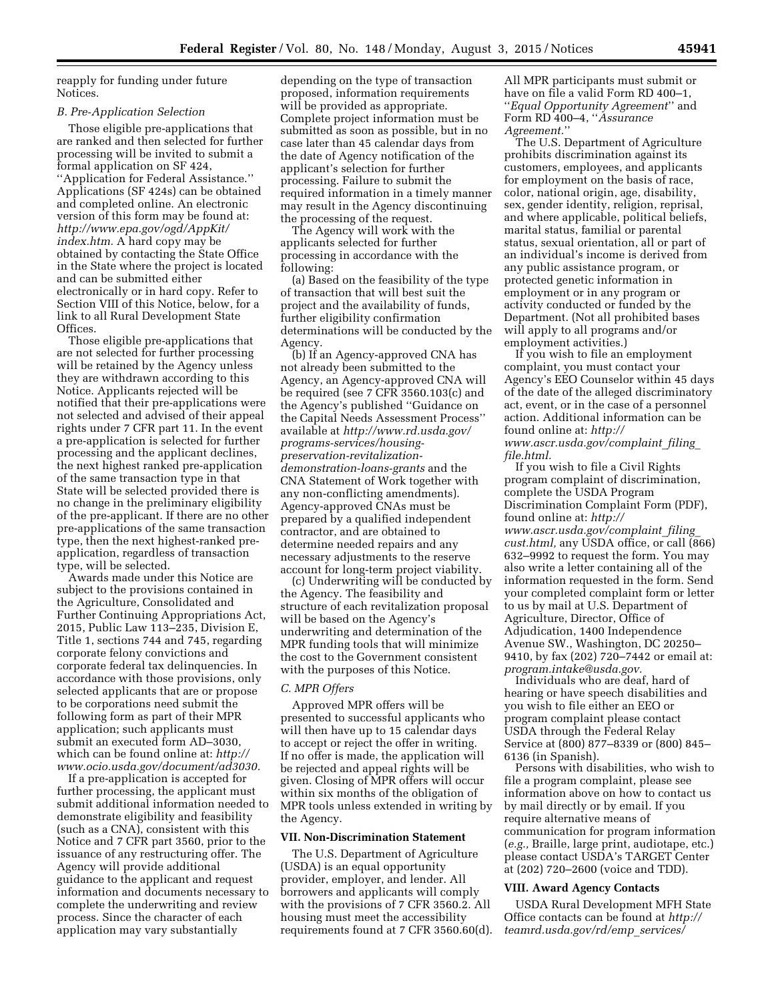reapply for funding under future Notices.

#### *B. Pre-Application Selection*

Those eligible pre-applications that are ranked and then selected for further processing will be invited to submit a formal application on SF 424, ''Application for Federal Assistance.'' Applications (SF 424s) can be obtained and completed online. An electronic version of this form may be found at: *[http://www.epa.gov/ogd/AppKit/](http://www.epa.gov/ogd/AppKit/index.htm) [index.htm.](http://www.epa.gov/ogd/AppKit/index.htm)* A hard copy may be obtained by contacting the State Office in the State where the project is located and can be submitted either electronically or in hard copy. Refer to Section VIII of this Notice, below, for a link to all Rural Development State Offices.

Those eligible pre-applications that are not selected for further processing will be retained by the Agency unless they are withdrawn according to this Notice. Applicants rejected will be notified that their pre-applications were not selected and advised of their appeal rights under 7 CFR part 11. In the event a pre-application is selected for further processing and the applicant declines, the next highest ranked pre-application of the same transaction type in that State will be selected provided there is no change in the preliminary eligibility of the pre-applicant. If there are no other pre-applications of the same transaction type, then the next highest-ranked preapplication, regardless of transaction type, will be selected.

Awards made under this Notice are subject to the provisions contained in the Agriculture, Consolidated and Further Continuing Appropriations Act, 2015, Public Law 113–235, Division E, Title 1, sections 744 and 745, regarding corporate felony convictions and corporate federal tax delinquencies. In accordance with those provisions, only selected applicants that are or propose to be corporations need submit the following form as part of their MPR application; such applicants must submit an executed form AD–3030, which can be found online at: *[http://](http://www.ocio.usda.gov/document/ad3030) [www.ocio.usda.gov/document/ad3030.](http://www.ocio.usda.gov/document/ad3030)* 

If a pre-application is accepted for further processing, the applicant must submit additional information needed to demonstrate eligibility and feasibility (such as a CNA), consistent with this Notice and 7 CFR part 3560, prior to the issuance of any restructuring offer. The Agency will provide additional guidance to the applicant and request information and documents necessary to complete the underwriting and review process. Since the character of each application may vary substantially

depending on the type of transaction proposed, information requirements will be provided as appropriate. Complete project information must be submitted as soon as possible, but in no case later than 45 calendar days from the date of Agency notification of the applicant's selection for further processing. Failure to submit the required information in a timely manner may result in the Agency discontinuing the processing of the request.

The Agency will work with the applicants selected for further processing in accordance with the following:

(a) Based on the feasibility of the type of transaction that will best suit the project and the availability of funds, further eligibility confirmation determinations will be conducted by the Agency.

(b) If an Agency-approved CNA has not already been submitted to the Agency, an Agency-approved CNA will be required (see 7 CFR 3560.103(c) and the Agency's published ''Guidance on the Capital Needs Assessment Process'' available at *[http://www.rd.usda.gov/](http://www.rd.usda.gov/programs-services/housing-preservation-revitalization-demonstration-loans-grants) [programs-services/housing](http://www.rd.usda.gov/programs-services/housing-preservation-revitalization-demonstration-loans-grants)[preservation-revitalization](http://www.rd.usda.gov/programs-services/housing-preservation-revitalization-demonstration-loans-grants)[demonstration-loans-grants](http://www.rd.usda.gov/programs-services/housing-preservation-revitalization-demonstration-loans-grants)* and the CNA Statement of Work together with any non-conflicting amendments). Agency-approved CNAs must be prepared by a qualified independent contractor, and are obtained to determine needed repairs and any necessary adjustments to the reserve account for long-term project viability.

(c) Underwriting will be conducted by the Agency. The feasibility and structure of each revitalization proposal will be based on the Agency's underwriting and determination of the MPR funding tools that will minimize the cost to the Government consistent with the purposes of this Notice.

#### *C. MPR Offers*

Approved MPR offers will be presented to successful applicants who will then have up to 15 calendar days to accept or reject the offer in writing. If no offer is made, the application will be rejected and appeal rights will be given. Closing of MPR offers will occur within six months of the obligation of MPR tools unless extended in writing by the Agency.

## **VII. Non-Discrimination Statement**

The U.S. Department of Agriculture (USDA) is an equal opportunity provider, employer, and lender. All borrowers and applicants will comply with the provisions of 7 CFR 3560.2. All housing must meet the accessibility requirements found at 7 CFR 3560.60(d).

All MPR participants must submit or have on file a valid Form RD 400–1, ''*Equal Opportunity Agreement*'' and Form RD 400–4, ''*Assurance Agreement.*''

The U.S. Department of Agriculture prohibits discrimination against its customers, employees, and applicants for employment on the basis of race, color, national origin, age, disability, sex, gender identity, religion, reprisal, and where applicable, political beliefs, marital status, familial or parental status, sexual orientation, all or part of an individual's income is derived from any public assistance program, or protected genetic information in employment or in any program or activity conducted or funded by the Department. (Not all prohibited bases will apply to all programs and/or employment activities.)

If you wish to file an employment complaint, you must contact your Agency's EEO Counselor within 45 days of the date of the alleged discriminatory act, event, or in the case of a personnel action. Additional information can be found online at: *[http://](http://www.ascr.usda.gov/complaint_filing_file.html) [www.ascr.usda.gov/complaint](http://www.ascr.usda.gov/complaint_filing_file.html)*\_*filing*\_ *[file.html.](http://www.ascr.usda.gov/complaint_filing_file.html)* 

If you wish to file a Civil Rights program complaint of discrimination, complete the USDA Program Discrimination Complaint Form (PDF), found online at: *[http://](http://www.ascr.usda.gov/complaint_filing_cust.html) [www.ascr.usda.gov/complaint](http://www.ascr.usda.gov/complaint_filing_cust.html)*\_*filing*\_ *[cust.html,](http://www.ascr.usda.gov/complaint_filing_cust.html)* any USDA office, or call (866) 632–9992 to request the form. You may also write a letter containing all of the information requested in the form. Send your completed complaint form or letter to us by mail at U.S. Department of Agriculture, Director, Office of Adjudication, 1400 Independence Avenue SW., Washington, DC 20250– 9410, by fax (202) 720–7442 or email at: *[program.intake@usda.gov.](mailto:program.intake@usda.gov)* 

Individuals who are deaf, hard of hearing or have speech disabilities and you wish to file either an EEO or program complaint please contact USDA through the Federal Relay Service at (800) 877–8339 or (800) 845– 6136 (in Spanish).

Persons with disabilities, who wish to file a program complaint, please see information above on how to contact us by mail directly or by email. If you require alternative means of communication for program information (*e.g.,* Braille, large print, audiotape, etc.) please contact USDA's TARGET Center at (202) 720–2600 (voice and TDD).

#### **VIII. Award Agency Contacts**

USDA Rural Development MFH State Office contacts can be found at *[http://](http://teamrd.usda.gov/rd/emp_services/) [teamrd.usda.gov/rd/emp](http://teamrd.usda.gov/rd/emp_services/)*\_*services/*